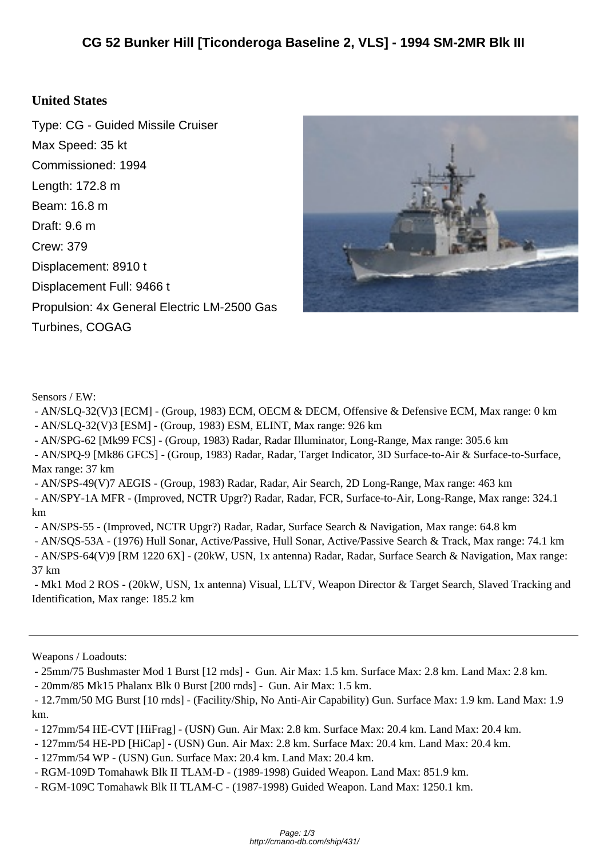## **United S[tates](http://cmano-db.com/ship/431/)**

Type: CG - Guided Missile Cruiser Max Speed: 35 kt Commissioned: 1994 Length: 172.8 m Beam: 16.8 m Draft: 9.6 m Crew: 379 Displacement: 8910 t Displacement Full: 9466 t Propulsion: 4x General Electric LM-2500 Gas Turbines, COGAG



Sensors / EW:

 - AN/SLQ-32(V)3 [ECM] - (Group, 1983) ECM, OECM & DECM, Offensive & Defensive ECM, Max range: 0 km - AN/SLQ-32(V)3 [ESM] - (Group, 1983) ESM, ELINT, Max range: 926 km

- AN/SPG-62 [Mk99 FCS] - (Group, 1983) Radar, Radar Illuminator, Long-Range, Max range: 305.6 km

 - AN/SPQ-9 [Mk86 GFCS] - (Group, 1983) Radar, Radar, Target Indicator, 3D Surface-to-Air & Surface-to-Surface, Max range: 37 km

- AN/SPS-49(V)7 AEGIS - (Group, 1983) Radar, Radar, Air Search, 2D Long-Range, Max range: 463 km

 - AN/SPY-1A MFR - (Improved, NCTR Upgr?) Radar, Radar, FCR, Surface-to-Air, Long-Range, Max range: 324.1 km

- AN/SPS-55 - (Improved, NCTR Upgr?) Radar, Radar, Surface Search & Navigation, Max range: 64.8 km

 - AN/SQS-53A - (1976) Hull Sonar, Active/Passive, Hull Sonar, Active/Passive Search & Track, Max range: 74.1 km - AN/SPS-64(V)9 [RM 1220 6X] - (20kW, USN, 1x antenna) Radar, Radar, Surface Search & Navigation, Max range:

37 km

 - Mk1 Mod 2 ROS - (20kW, USN, 1x antenna) Visual, LLTV, Weapon Director & Target Search, Slaved Tracking and Identification, Max range: 185.2 km

Weapons / Loadouts:

- 25mm/75 Bushmaster Mod 1 Burst [12 rnds] - Gun. Air Max: 1.5 km. Surface Max: 2.8 km. Land Max: 2.8 km.

- 20mm/85 Mk15 Phalanx Blk 0 Burst [200 rnds] - Gun. Air Max: 1.5 km.

 - 12.7mm/50 MG Burst [10 rnds] - (Facility/Ship, No Anti-Air Capability) Gun. Surface Max: 1.9 km. Land Max: 1.9 km.

- 127mm/54 HE-CVT [HiFrag] - (USN) Gun. Air Max: 2.8 km. Surface Max: 20.4 km. Land Max: 20.4 km.

- 127mm/54 HE-PD [HiCap] - (USN) Gun. Air Max: 2.8 km. Surface Max: 20.4 km. Land Max: 20.4 km.

- 127mm/54 WP - (USN) Gun. Surface Max: 20.4 km. Land Max: 20.4 km.

- RGM-109D Tomahawk Blk II TLAM-D - (1989-1998) Guided Weapon. Land Max: 851.9 km.

- RGM-109C Tomahawk Blk II TLAM-C - (1987-1998) Guided Weapon. Land Max: 1250.1 km.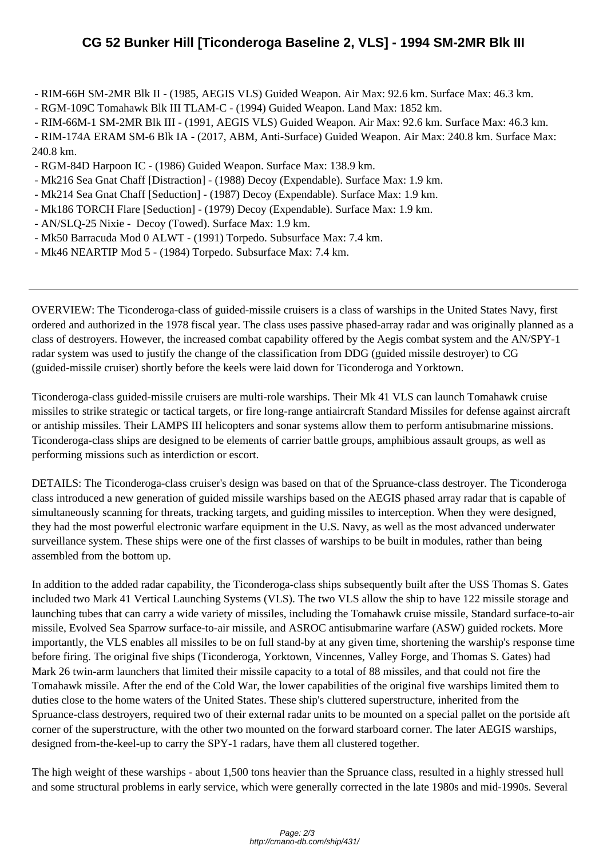- RIM-66[H SM-2MR Blk II \(1985, AEGIS VLS\) Guided Weapon. Air Max: 92.6 km. Surface Max: 46.3 km](http://cmano-db.com/ship/431/).
- RGM-109C Tomahawk Blk III TLAM-C (1994) Guided Weapon. Land Max: 1852 km.
- RIM-66M-1 SM-2MR Blk III (1991, AEGIS VLS) Guided Weapon. Air Max: 92.6 km. Surface Max: 46.3 km.

 - RIM-174A ERAM SM-6 Blk IA - (2017, ABM, Anti-Surface) Guided Weapon. Air Max: 240.8 km. Surface Max: 240.8 km.

- RGM-84D Harpoon IC (1986) Guided Weapon. Surface Max: 138.9 km.
- Mk216 Sea Gnat Chaff [Distraction] (1988) Decoy (Expendable). Surface Max: 1.9 km.
- Mk214 Sea Gnat Chaff [Seduction] (1987) Decoy (Expendable). Surface Max: 1.9 km.
- Mk186 TORCH Flare [Seduction] (1979) Decoy (Expendable). Surface Max: 1.9 km.
- AN/SLQ-25 Nixie Decoy (Towed). Surface Max: 1.9 km.
- Mk50 Barracuda Mod 0 ALWT (1991) Torpedo. Subsurface Max: 7.4 km.
- Mk46 NEARTIP Mod 5 (1984) Torpedo. Subsurface Max: 7.4 km.

OVERVIEW: The Ticonderoga-class of guided-missile cruisers is a class of warships in the United States Navy, first ordered and authorized in the 1978 fiscal year. The class uses passive phased-array radar and was originally planned as a class of destroyers. However, the increased combat capability offered by the Aegis combat system and the AN/SPY-1 radar system was used to justify the change of the classification from DDG (guided missile destroyer) to CG (guided-missile cruiser) shortly before the keels were laid down for Ticonderoga and Yorktown.

Ticonderoga-class guided-missile cruisers are multi-role warships. Their Mk 41 VLS can launch Tomahawk cruise missiles to strike strategic or tactical targets, or fire long-range antiaircraft Standard Missiles for defense against aircraft or antiship missiles. Their LAMPS III helicopters and sonar systems allow them to perform antisubmarine missions. Ticonderoga-class ships are designed to be elements of carrier battle groups, amphibious assault groups, as well as performing missions such as interdiction or escort.

DETAILS: The Ticonderoga-class cruiser's design was based on that of the Spruance-class destroyer. The Ticonderoga class introduced a new generation of guided missile warships based on the AEGIS phased array radar that is capable of simultaneously scanning for threats, tracking targets, and guiding missiles to interception. When they were designed, they had the most powerful electronic warfare equipment in the U.S. Navy, as well as the most advanced underwater surveillance system. These ships were one of the first classes of warships to be built in modules, rather than being assembled from the bottom up.

In addition to the added radar capability, the Ticonderoga-class ships subsequently built after the USS Thomas S. Gates included two Mark 41 Vertical Launching Systems (VLS). The two VLS allow the ship to have 122 missile storage and launching tubes that can carry a wide variety of missiles, including the Tomahawk cruise missile, Standard surface-to-air missile, Evolved Sea Sparrow surface-to-air missile, and ASROC antisubmarine warfare (ASW) guided rockets. More importantly, the VLS enables all missiles to be on full stand-by at any given time, shortening the warship's response time before firing. The original five ships (Ticonderoga, Yorktown, Vincennes, Valley Forge, and Thomas S. Gates) had Mark 26 twin-arm launchers that limited their missile capacity to a total of 88 missiles, and that could not fire the Tomahawk missile. After the end of the Cold War, the lower capabilities of the original five warships limited them to duties close to the home waters of the United States. These ship's cluttered superstructure, inherited from the Spruance-class destroyers, required two of their external radar units to be mounted on a special pallet on the portside aft corner of the superstructure, with the other two mounted on the forward starboard corner. The later AEGIS warships, designed from-the-keel-up to carry the SPY-1 radars, have them all clustered together.

The high weight of these warships - about 1,500 tons heavier than the Spruance class, resulted in a highly stressed hull and some structural problems in early service, which were generally corrected in the late 1980s and mid-1990s. Several